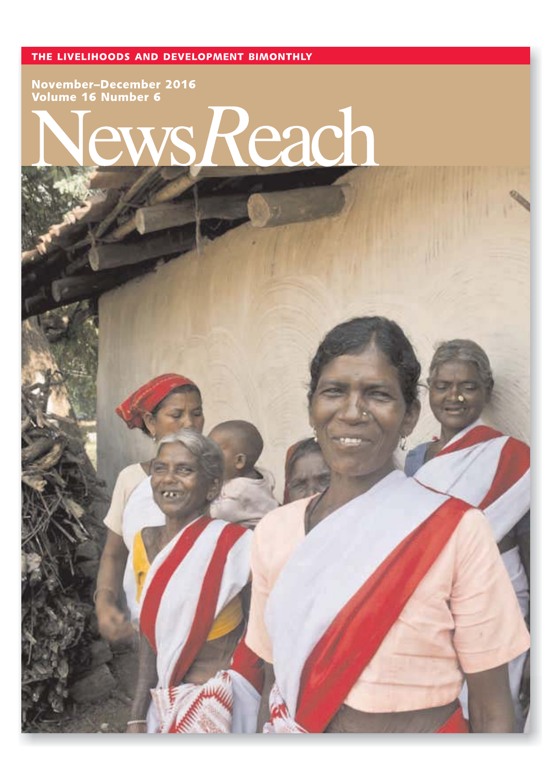THE LIVELIHOODS AND DEVELOPMENT BIMONTHLY

November-December 2016<br>Volume 16 Number 6

# each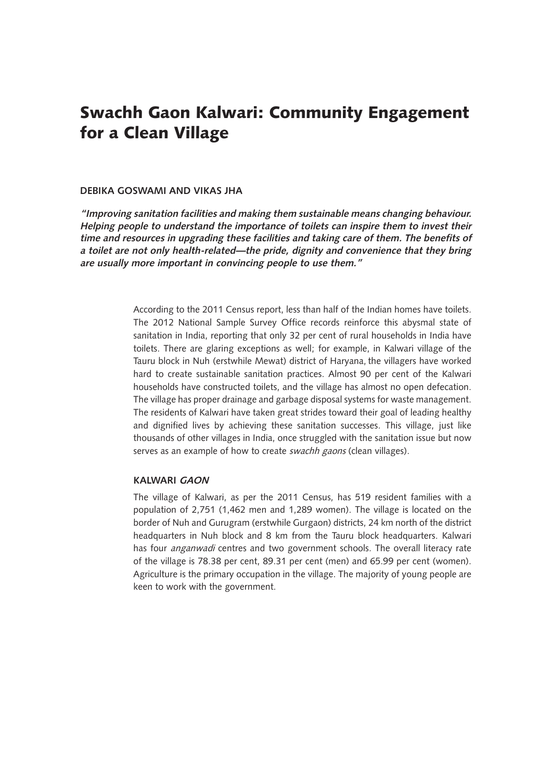# Swachh Gaon Kalwari: Community Engagement for a Clean Village

## **DEBIKA GOSWAMI AND VIKAS JHA**

**"Improving sanitation facilities and making them sustainable means changing behaviour. Helping people to understand the importance of toilets can inspire them to invest their time and resources in upgrading these facilities and taking care of them. The benefits of a toilet are not only health-related—the pride, dignity and convenience that they bring are usually more important in convincing people to use them."**

> According to the 2011 Census report, less than half of the Indian homes have toilets. The 2012 National Sample Survey Office records reinforce this abysmal state of sanitation in India, reporting that only 32 per cent of rural households in India have toilets. There are glaring exceptions as well; for example, in Kalwari village of the Tauru block in Nuh (erstwhile Mewat) district of Haryana, the villagers have worked hard to create sustainable sanitation practices. Almost 90 per cent of the Kalwari households have constructed toilets, and the village has almost no open defecation. The village has proper drainage and garbage disposal systems for waste management. The residents of Kalwari have taken great strides toward their goal of leading healthy and dignified lives by achieving these sanitation successes. This village, just like thousands of other villages in India, once struggled with the sanitation issue but now serves as an example of how to create swachh gaons (clean villages).

# **KALWARI GAON**

The village of Kalwari, as per the 2011 Census, has 519 resident families with a population of 2,751 (1,462 men and 1,289 women). The village is located on the border of Nuh and Gurugram (erstwhile Gurgaon) districts, 24 km north of the district headquarters in Nuh block and 8 km from the Tauru block headquarters. Kalwari has four *anganwadi* centres and two government schools. The overall literacy rate of the village is 78.38 per cent, 89.31 per cent (men) and 65.99 per cent (women). Agriculture is the primary occupation in the village. The majority of young people are keen to work with the government.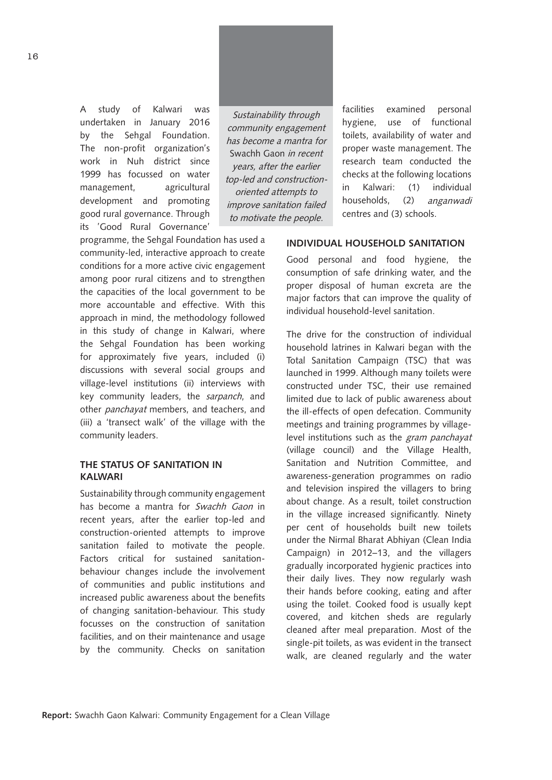A study of Kalwari was undertaken in January 2016 by the Sehgal Foundation. The non-profit organization's work in Nuh district since 1999 has focussed on water management, agricultural development and promoting good rural governance. Through its 'Good Rural Governance'

Sustainability through community engagement has become a mantra for Swachh Gaon in recent years, after the earlier top-led and constructionoriented attempts to improve sanitation failed to motivate the people.

programme, the Sehgal Foundation has used a community-led, interactive approach to create conditions for a more active civic engagement among poor rural citizens and to strengthen the capacities of the local government to be more accountable and effective. With this approach in mind, the methodology followed in this study of change in Kalwari, where the Sehgal Foundation has been working for approximately five years, included (i) discussions with several social groups and village-level institutions (ii) interviews with key community leaders, the sarpanch, and other *panchayat* members, and teachers, and (iii) a 'transect walk' of the village with the community leaders.

# **THE STATUS OF SANITATION IN KALWARI**

Sustainability through community engagement has become a mantra for Swachh Gaon in recent years, after the earlier top-led and construction-oriented attempts to improve sanitation failed to motivate the people. Factors critical for sustained sanitationbehaviour changes include the involvement of communities and public institutions and increased public awareness about the benefits of changing sanitation-behaviour. This study focusses on the construction of sanitation facilities, and on their maintenance and usage by the community. Checks on sanitation

facilities examined personal hygiene, use of functional toilets, availability of water and proper waste management. The research team conducted the checks at the following locations in Kalwari: (1) individual households, (2) anganwadi centres and (3) schools.

#### **INDIVIDUAL HOUSEHOLD SANITATION**

Good personal and food hygiene, the consumption of safe drinking water, and the proper disposal of human excreta are the major factors that can improve the quality of individual household-level sanitation.

The drive for the construction of individual household latrines in Kalwari began with the Total Sanitation Campaign (TSC) that was launched in 1999. Although many toilets were constructed under TSC, their use remained limited due to lack of public awareness about the ill-effects of open defecation. Community meetings and training programmes by villagelevel institutions such as the *gram panchayat* (village council) and the Village Health, Sanitation and Nutrition Committee, and awareness-generation programmes on radio and television inspired the villagers to bring about change. As a result, toilet construction in the village increased significantly. Ninety per cent of households built new toilets under the Nirmal Bharat Abhiyan (Clean India Campaign) in 2012–13, and the villagers gradually incorporated hygienic practices into their daily lives. They now regularly wash their hands before cooking, eating and after using the toilet. Cooked food is usually kept covered, and kitchen sheds are regularly cleaned after meal preparation. Most of the single-pit toilets, as was evident in the transect walk, are cleaned regularly and the water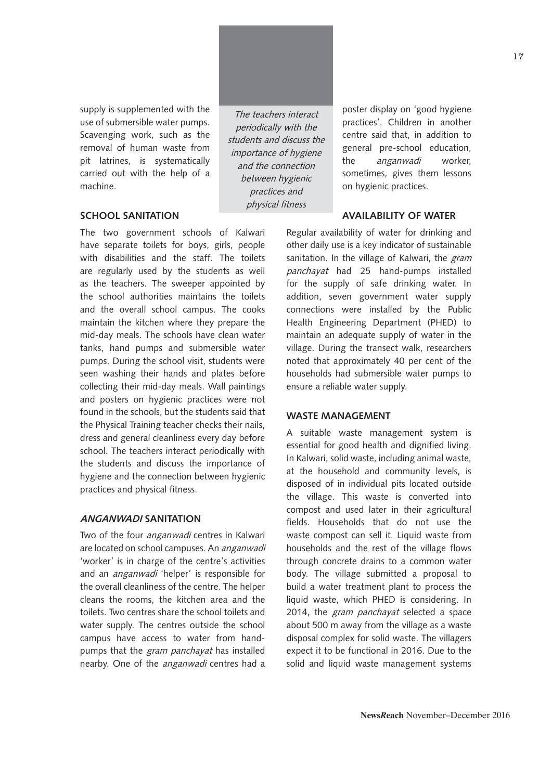supply is supplemented with the use of submersible water pumps. Scavenging work, such as the removal of human waste from pit latrines, is systematically carried out with the help of a machine.

#### **SCHOOL SANITATION**

The two government schools of Kalwari have separate toilets for boys, girls, people with disabilities and the staff. The toilets are regularly used by the students as well as the teachers. The sweeper appointed by the school authorities maintains the toilets and the overall school campus. The cooks maintain the kitchen where they prepare the mid-day meals. The schools have clean water tanks, hand pumps and submersible water pumps. During the school visit, students were seen washing their hands and plates before collecting their mid-day meals. Wall paintings and posters on hygienic practices were not found in the schools, but the students said that the Physical Training teacher checks their nails, dress and general cleanliness every day before school. The teachers interact periodically with the students and discuss the importance of hygiene and the connection between hygienic practices and physical fitness.

#### **ANGANWADI SANITATION**

Two of the four *anganwadi* centres in Kalwari are located on school campuses. An anganwadi 'worker' is in charge of the centre's activities and an anganwadi 'helper' is responsible for the overall cleanliness of the centre. The helper cleans the rooms, the kitchen area and the toilets. Two centres share the school toilets and water supply. The centres outside the school campus have access to water from handpumps that the gram panchayat has installed nearby. One of the anganwadi centres had a

The teachers interact periodically with the students and discuss the importance of hygiene and the connection between hygienic practices and physical fitness

poster display on 'good hygiene practices'. Children in another centre said that, in addition to general pre-school education, the anganwadi worker, sometimes, gives them lessons on hygienic practices.

#### **AVAILABILITY OF WATER**

Regular availability of water for drinking and other daily use is a key indicator of sustainable sanitation. In the village of Kalwari, the gram panchayat had 25 hand-pumps installed for the supply of safe drinking water. In addition, seven government water supply connections were installed by the Public Health Engineering Department (PHED) to maintain an adequate supply of water in the village. During the transect walk, researchers noted that approximately 40 per cent of the households had submersible water pumps to ensure a reliable water supply.

#### **WASTE MANAGEMENT**

A suitable waste management system is essential for good health and dignified living. In Kalwari, solid waste, including animal waste, at the household and community levels, is disposed of in individual pits located outside the village. This waste is converted into compost and used later in their agricultural fields. Households that do not use the waste compost can sell it. Liquid waste from households and the rest of the village flows through concrete drains to a common water body. The village submitted a proposal to build a water treatment plant to process the liquid waste, which PHED is considering. In 2014, the gram panchayat selected a space about 500 m away from the village as a waste disposal complex for solid waste. The villagers expect it to be functional in 2016. Due to the solid and liquid waste management systems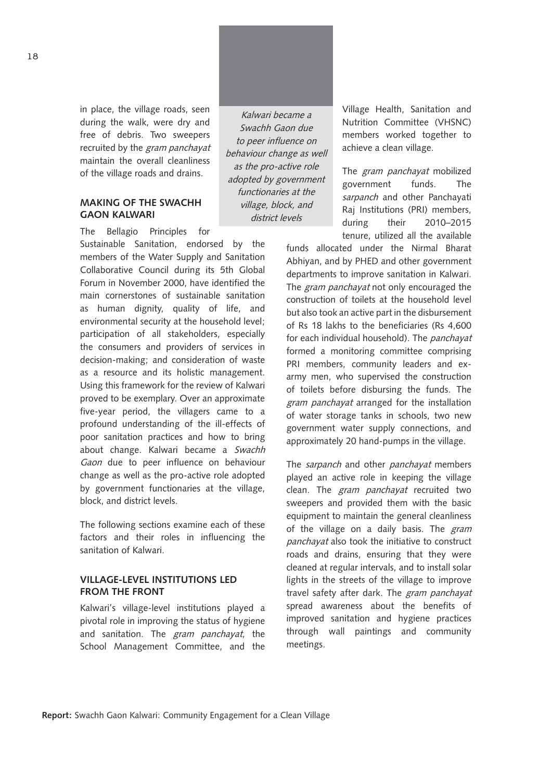in place, the village roads, seen during the walk, were dry and free of debris. Two sweepers recruited by the *gram panchayat* maintain the overall cleanliness of the village roads and drains.

#### **MAKING OF THE SWACHH GAON KALWARI**

The Bellagio Principles for

Sustainable Sanitation, endorsed by the members of the Water Supply and Sanitation Collaborative Council during its 5th Global Forum in November 2000, have identified the main cornerstones of sustainable sanitation as human dignity, quality of life, and environmental security at the household level; participation of all stakeholders, especially the consumers and providers of services in decision-making; and consideration of waste as a resource and its holistic management. Using this framework for the review of Kalwari proved to be exemplary. Over an approximate five-year period, the villagers came to a profound understanding of the ill-effects of poor sanitation practices and how to bring about change. Kalwari became a Swachh Gaon due to peer influence on behaviour change as well as the pro-active role adopted by government functionaries at the village, block, and district levels.

The following sections examine each of these factors and their roles in influencing the sanitation of Kalwari.

# **VILLAGE-LEVEL INSTITUTIONS LED FROM THE FRONT**

Kalwari's village-level institutions played a pivotal role in improving the status of hygiene and sanitation. The gram panchayat, the School Management Committee, and the

Kalwari became a Swachh Gaon due to peer influence on behaviour change as well as the pro-active role adopted by government functionaries at the village, block, and district levels

Village Health, Sanitation and Nutrition Committee (VHSNC) members worked together to achieve a clean village.

The *gram panchavat* mobilized government funds. The sarpanch and other Panchayati Raj Institutions (PRI) members, during their 2010–2015 tenure, utilized all the available

funds allocated under the Nirmal Bharat Abhiyan, and by PHED and other government departments to improve sanitation in Kalwari. The *gram panchayat* not only encouraged the construction of toilets at the household level but also took an active part in the disbursement of Rs 18 lakhs to the beneficiaries (Rs 4,600 for each individual household). The panchayat formed a monitoring committee comprising PRI members, community leaders and exarmy men, who supervised the construction of toilets before disbursing the funds. The gram panchayat arranged for the installation of water storage tanks in schools, two new government water supply connections, and approximately 20 hand-pumps in the village.

The sarpanch and other panchayat members played an active role in keeping the village clean. The *gram panchayat* recruited two sweepers and provided them with the basic equipment to maintain the general cleanliness of the village on a daily basis. The gram panchayat also took the initiative to construct roads and drains, ensuring that they were cleaned at regular intervals, and to install solar lights in the streets of the village to improve travel safety after dark. The gram panchayat spread awareness about the benefits of improved sanitation and hygiene practices through wall paintings and community meetings.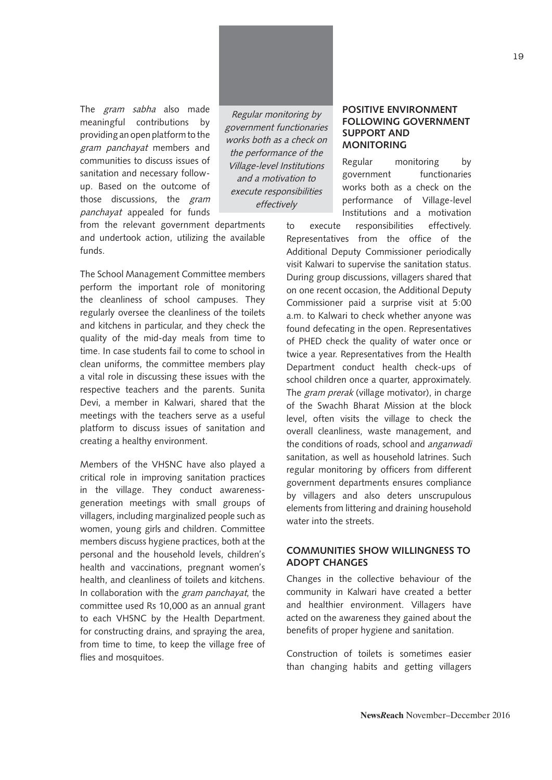The *gram sabha* also made meaningful contributions by providing an open platform to the gram panchayat members and communities to discuss issues of sanitation and necessary followup. Based on the outcome of those discussions, the *gram* panchayat appealed for funds

Regular monitoring by government functionaries works both as a check on the performance of the Village-level Institutions and a motivation to execute responsibilities effectively

from the relevant government departments and undertook action, utilizing the available funds.

The School Management Committee members perform the important role of monitoring the cleanliness of school campuses. They regularly oversee the cleanliness of the toilets and kitchens in particular, and they check the quality of the mid-day meals from time to time. In case students fail to come to school in clean uniforms, the committee members play a vital role in discussing these issues with the respective teachers and the parents. Sunita Devi, a member in Kalwari, shared that the meetings with the teachers serve as a useful platform to discuss issues of sanitation and creating a healthy environment.

Members of the VHSNC have also played a critical role in improving sanitation practices in the village. They conduct awarenessgeneration meetings with small groups of villagers, including marginalized people such as women, young girls and children. Committee members discuss hygiene practices, both at the personal and the household levels, children's health and vaccinations, pregnant women's health, and cleanliness of toilets and kitchens. In collaboration with the gram panchayat, the committee used Rs 10,000 as an annual grant to each VHSNC by the Health Department. for constructing drains, and spraying the area, from time to time, to keep the village free of flies and mosquitoes.

## **POSITIVE ENVIRONMENT FOLLOWING GOVERNMENT SUPPORT AND MONITORING**

Regular monitoring by government functionaries works both as a check on the performance of Village-level Institutions and a motivation

to execute responsibilities effectively. Representatives from the office of the Additional Deputy Commissioner periodically visit Kalwari to supervise the sanitation status. During group discussions, villagers shared that on one recent occasion, the Additional Deputy Commissioner paid a surprise visit at 5:00 a.m. to Kalwari to check whether anyone was found defecating in the open. Representatives of PHED check the quality of water once or twice a year. Representatives from the Health Department conduct health check-ups of school children once a quarter, approximately. The gram prerak (village motivator), in charge of the Swachh Bharat Mission at the block level, often visits the village to check the overall cleanliness, waste management, and the conditions of roads, school and anganwadi sanitation, as well as household latrines. Such regular monitoring by officers from different government departments ensures compliance by villagers and also deters unscrupulous elements from littering and draining household water into the streets.

## **COMMUNITIES SHOW WILLINGNESS TO ADOPT CHANGES**

Changes in the collective behaviour of the community in Kalwari have created a better and healthier environment. Villagers have acted on the awareness they gained about the benefits of proper hygiene and sanitation.

Construction of toilets is sometimes easier than changing habits and getting villagers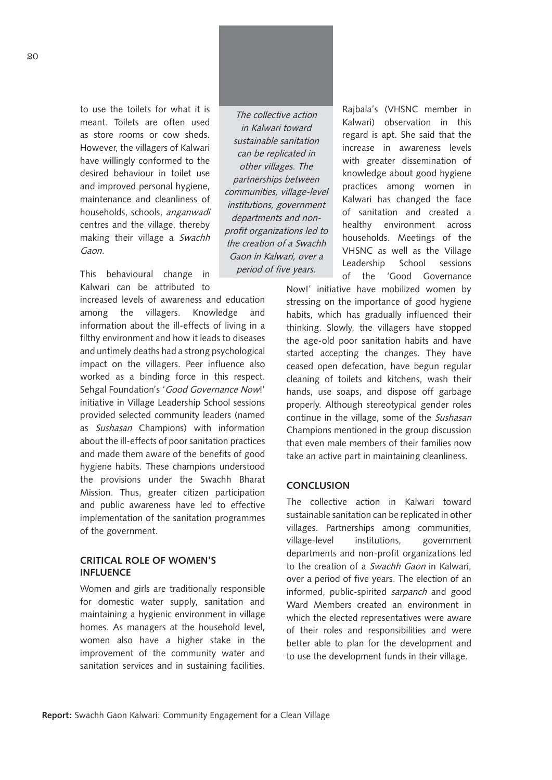to use the toilets for what it is meant. Toilets are often used as store rooms or cow sheds. However, the villagers of Kalwari have willingly conformed to the desired behaviour in toilet use and improved personal hygiene, maintenance and cleanliness of households, schools, anganwadi centres and the village, thereby making their village a Swachh Gaon.

This behavioural change in Kalwari can be attributed to

increased levels of awareness and education among the villagers. Knowledge and information about the ill-effects of living in a filthy environment and how it leads to diseases and untimely deaths had a strong psychological impact on the villagers. Peer influence also worked as a binding force in this respect. Sehgal Foundation's 'Good Governance Now!' initiative in Village Leadership School sessions provided selected community leaders (named as Sushasan Champions) with information about the ill-effects of poor sanitation practices and made them aware of the benefits of good hygiene habits. These champions understood the provisions under the Swachh Bharat Mission. Thus, greater citizen participation and public awareness have led to effective implementation of the sanitation programmes of the government.

#### **CRITICAL ROLE OF WOMEN'S INFLUENCE**

Women and girls are traditionally responsible for domestic water supply, sanitation and maintaining a hygienic environment in village homes. As managers at the household level, women also have a higher stake in the improvement of the community water and sanitation services and in sustaining facilities.

The collective action in Kalwari toward sustainable sanitation can be replicated in other villages. The partnerships between communities, village-level institutions, government departments and nonprofit organizations led to the creation of a Swachh Gaon in Kalwari, over a period of five years.

Rajbala's (VHSNC member in Kalwari) observation in this regard is apt. She said that the increase in awareness levels with greater dissemination of knowledge about good hygiene practices among women in Kalwari has changed the face of sanitation and created a healthy environment across households. Meetings of the VHSNC as well as the Village Leadership School sessions of the 'Good Governance

Now!' initiative have mobilized women by stressing on the importance of good hygiene habits, which has gradually influenced their thinking. Slowly, the villagers have stopped the age-old poor sanitation habits and have started accepting the changes. They have ceased open defecation, have begun regular cleaning of toilets and kitchens, wash their hands, use soaps, and dispose off garbage properly. Although stereotypical gender roles continue in the village, some of the Sushasan Champions mentioned in the group discussion that even male members of their families now take an active part in maintaining cleanliness.

#### **CONCLUSION**

The collective action in Kalwari toward sustainable sanitation can be replicated in other villages. Partnerships among communities, village-level institutions, government departments and non-profit organizations led to the creation of a Swachh Gaon in Kalwari, over a period of five years. The election of an informed, public-spirited sarpanch and good Ward Members created an environment in which the elected representatives were aware of their roles and responsibilities and were better able to plan for the development and to use the development funds in their village.